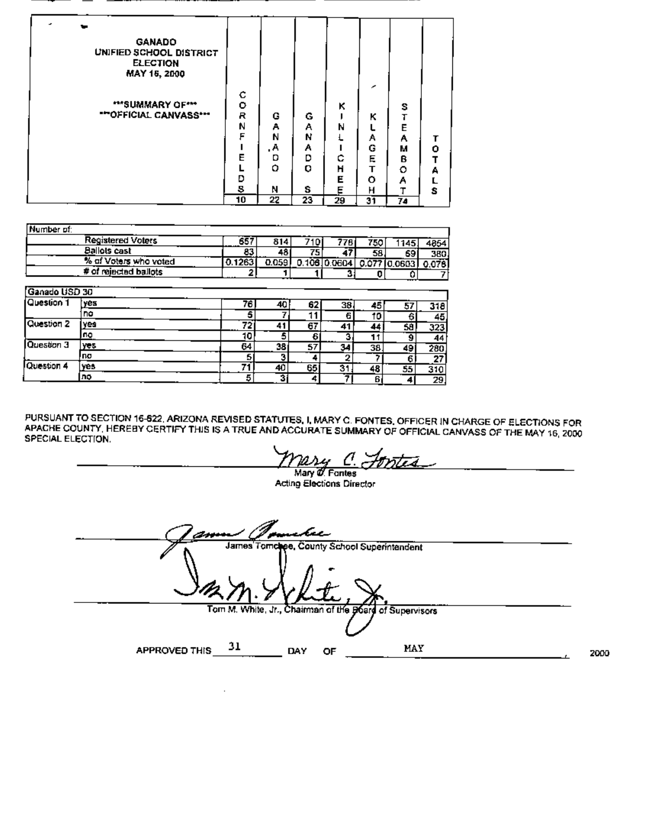| <b>GANADO</b><br>UNIFIED SCHOOL DISTRICT<br><b>ELECTION</b><br>MAY 16, 2000<br>""SUMMARY OF""<br>""OFFICIAL CANVASS"" | с<br>۰<br>R<br>N<br>F<br>Е | G<br>А<br>Ν<br>А.<br>D<br>٥ | G<br>А<br>N<br>А<br>D<br>O | κ<br>N<br>с<br>н | ≁<br>κ<br>Α<br>G<br>E<br>т | s<br>Т<br>E<br>А<br>М<br>в<br>٥ | ٥<br>т<br>А |
|-----------------------------------------------------------------------------------------------------------------------|----------------------------|-----------------------------|----------------------------|------------------|----------------------------|---------------------------------|-------------|
|                                                                                                                       | Đ                          |                             |                            | Е                | ٥                          | Α                               |             |
|                                                                                                                       | 5<br>10                    | Ν<br>22                     | s<br>23                    | Е<br>29          | н<br>31                    | т<br>74                         | s           |

| Number of:    |                          |        |       |     |              |     |              |                 |
|---------------|--------------------------|--------|-------|-----|--------------|-----|--------------|-----------------|
|               | <b>Registered Voters</b> | 657    | 814   | 710 | 778          | 750 | 1145.        | 4854            |
|               | <b>Ballots cast</b>      | 83     | 481   | 75  | 47           | 58  | 69           | 380.            |
|               | % of Voters who voted    | 0.1263 | 0.059 |     | 0.10610.0604 |     | 0.07710.0603 | 0.076           |
|               | # of rejected ballots    | 2      |       |     |              | o   |              |                 |
|               |                          |        |       |     |              |     |              |                 |
| Ganado USD 30 |                          |        |       |     |              |     |              |                 |
| Question 1    | yes                      | 76.    | 40    | 62  | 38           | 45  | 57           | 318             |
|               | no                       | 5      |       | 11  | 6            | 10  | 6            | 45              |
| Question 2    | yes                      | 72     | 41    | 67  | 41           | 44  | 58           | 323             |
|               | пo                       | 10     | 5     | 6   | 3            | 11  | 9            | 44              |
| Question 3    | yes                      | 64     | 38    | 57  | 34           | 38. | 49           | 280             |
|               | <b>no</b>                | 5      | з     |     | 2            |     | 6            | $\overline{27}$ |
| Question 4    | yes                      | 71     | 40    | 65  | 31           | 48  | 55           | 310             |
|               | no                       | 5      | 31    | 4   |              | 6   | 4            | 29              |

PURSUANT TO SECTION 16-622, ARIZONA REVISED STATUTES, I, MARY C. FONTES, OFFICER IN CHARGE OF ELECTIONS FOR<br>APACHE COUNTY, HEREBY CERTIFY THIS IS A TRUE AND ACCURATE SUMMARY OF OFFICIAL CANVASS OF THE MAY 16, 2000 SPECIAL ELECTION.

Mary 0. Fontes

**Acting Elections Director** 

hn James Tomchee, County School Superintendent Tom M. White, Jr., Chairman of the Board of Supervisors 31 MAY **APPROVED THIS** DAY OF 2000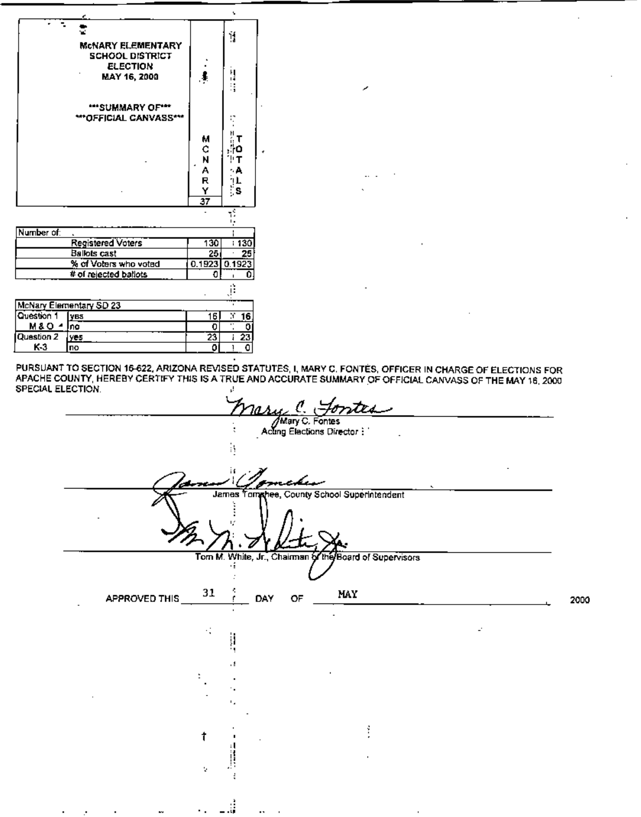|                  |                                                                  |                      | v                                 |
|------------------|------------------------------------------------------------------|----------------------|-----------------------------------|
|                  | <b>MCNARY ELEMENTARY</b>                                         |                      | ij                                |
|                  | <b>SCHOOL DISTRICT</b><br><b>ELECTION</b><br><b>MAY 16, 2000</b> |                      | il<br>S                           |
|                  | ""SUMMARY OF""<br><b>***OFFICIAL CANVASS**</b>                   |                      |                                   |
|                  |                                                                  |                      |                                   |
|                  |                                                                  | М                    | H<br>т<br>⊹ο                      |
|                  |                                                                  | C<br>N               | т                                 |
|                  |                                                                  | A<br>R               | ۰A                                |
|                  |                                                                  |                      | iL<br>¦S                          |
|                  |                                                                  | Y<br>$\overline{37}$ |                                   |
|                  |                                                                  |                      |                                   |
|                  |                                                                  |                      |                                   |
| Number of:       |                                                                  |                      |                                   |
|                  | <b>Registered Voters</b>                                         | 130                  | : 130                             |
|                  | <b>Ballots cast</b>                                              | 25                   | 25                                |
|                  | % of Voters who voted                                            | 0.1923               | 0.1923                            |
|                  | # of rejected ballots                                            | O                    | Ō                                 |
|                  |                                                                  |                      | ji.                               |
|                  | McNary Elementary SD 23                                          |                      |                                   |
| Question 1       | yes                                                              | 16                   | F<br>16                           |
| <b>M&amp;O 4</b> | Ina                                                              | 0                    | Ē<br>$\overline{\mathbf{o}}$<br>ı |
| Question 2       | yes                                                              | 23                   | $\frac{23}{0}$<br>ţ               |
| KЗ               | <b>no</b>                                                        | ō                    | ī                                 |

PURSUANT TO SECTION 15-622, ARIZONA REVISED STATUTES, I, MARY C. FONTES, OFFICER IN CHARGE OF ELECTIONS FOR<br>APACHE COUNTY, HEREBY CERTIFY THIS IS A TRUE AND ACCURATE SUMMARY OF OFFICIAL CANVASS OF THE MAY 16, 2000 SPECIAL ELECTION.  $\mu$ 

ر

 $\cdots$ 

|               | ÷,        | Mary C. Fontes                                          |              |      |
|---------------|-----------|---------------------------------------------------------|--------------|------|
|               |           | ncken<br>James Tomphee, County School Superintendent    |              |      |
|               |           |                                                         |              |      |
|               | ٠         | Tom M. White, Jr., Chairman of the Board of Supervisors |              |      |
| APPROVED THIS | 31<br>DAY | MAY<br>OF                                               |              | 2000 |
|               | ij        |                                                         | $\mathbf{r}$ |      |
|               | ٠,<br>٠.  |                                                         |              |      |
|               | ٠,        |                                                         |              |      |
|               | t         |                                                         |              |      |
|               | v         |                                                         |              |      |
|               | н.        |                                                         |              |      |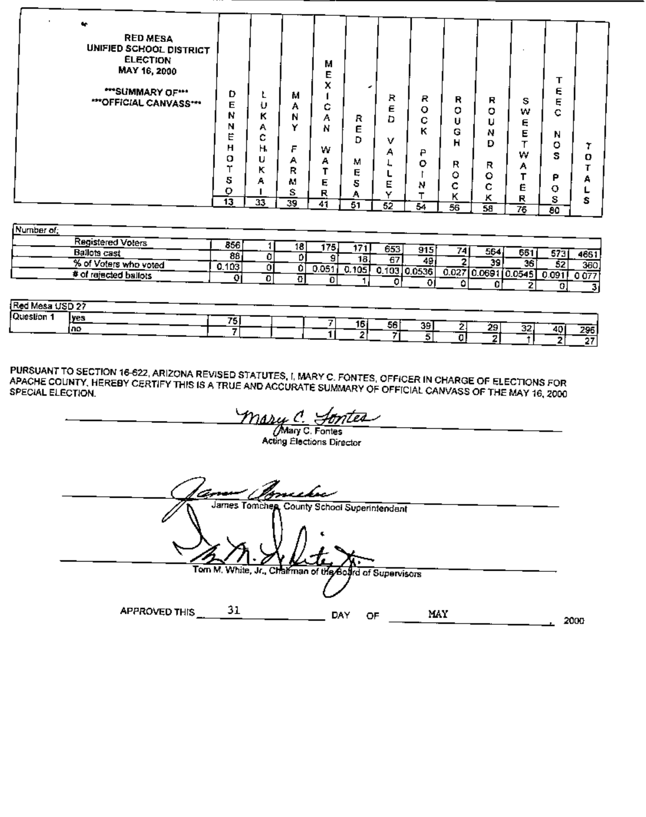$\cdots$ 

| Number of:            |       |    |       |       |       |           |       |               |               |      |      |
|-----------------------|-------|----|-------|-------|-------|-----------|-------|---------------|---------------|------|------|
| Registered Voters     | 856   | 18 | 175   |       | 653   |           |       |               |               |      |      |
| <b>Ballots cast</b>   | 88    |    |       | 18.   | 67    | 915<br>49 |       | 564           | 661           |      | 4661 |
| % of Voters who voted | 0.103 |    | 0.051 | 0.105 | 0.103 | 10.0536   | 0.027 | 39<br>10.0691 | 36.<br>0.0545 | 52   | 360  |
| # of rajacted ballots |       |    |       |       |       |           |       |               |               | 0.09 | 1077 |
|                       |       |    |       |       |       |           |       |               |               |      |      |

| <b>IRed Mesa USD 27</b> |             |     |           |    |          |     |           |
|-------------------------|-------------|-----|-----------|----|----------|-----|-----------|
| Question                | lves<br>ino | 75. | 16.<br>56 | 39 | 29<br>32 | 40. | 295<br>67 |

PURSUANT TO SECTION 16-622, ARIZONA REVISED STATUTES, I, MARY C. FONTES, OFFICER IN CHARGE OF ELECTIONS FOR<br>APACHE COUNTY, HEREBY CERTIFY THIS IS A TRUE AND ACCURATE SUMMARY OF OFFICIAL CANVASS OF THE MAY 16, 2000

<u>Masy C. Sonted</u><br>Mary C. Fontes<br>Acting Elections Director rtea

| am Bonche                                               |      |
|---------------------------------------------------------|------|
| James Tomchen, County School Superintendant             |      |
| Tom M. White, Jr., Chairman of the Board of Supervisors |      |
| 31<br><b>APPROVED THIS</b><br>MAY<br>DAY<br>OF          | 2000 |